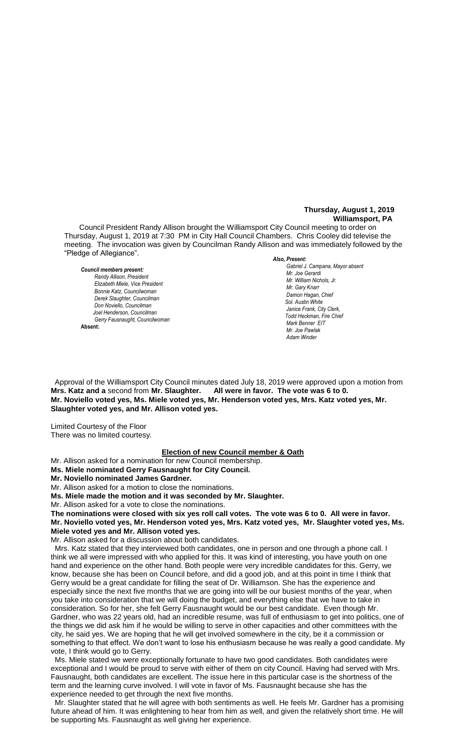#### **Thursday, August 1, 2019 Williamsport, PA**

Council President Randy Allison brought the Williamsport City Council meeting to order on Thursday, August 1, 2019 at 7:30 PM in City Hall Council Chambers. Chris Cooley did televise the meeting. The invocation was given by Councilman Randy Allison and was immediately followed by the "Pledge of Allegiance".

#### *Council members present:*

*Randy Allison, President , President*   $E$ lizabeth Miele, Vice President *Bonnie Katz, Councilwoman Derek Slaughter, Councilman Don Noviello, Councilman Joel Henderson, Councilman Gerry Fausnaught, Councilwoman* **Absent:** 

#### *Also, Present:*

*Gabriel J. Campana, Mayor absent Mr. William Nichols, Jr. Mr. Joe Gerardi Mr. Joseph Pawlak Mr. William Nichols, Jr. Mr. Joe Pawlak Mr. Gary Knarr Damon Hagan, Chief Chief Heinbach absent Sol. Austin White Janice Frank, City Clerk,* **Todd Heckman, Fire Chief** *Mark Benner EIT Mr. Joe Pawlak* **Adam Winder** 

 Approval of the Williamsport City Council minutes dated July 18, 2019 were approved upon a motion from **Mrs. Katz and a** second from **Mr. Slaughter. All were in favor. The vote was 6 to 0.** *.*  **Mr. Noviello voted yes, Ms. Miele voted yes, Mr. Henderson voted yes, Mrs. Katz voted yes, Mr.**  *Mr. Joe Pawlak* **Slaughter voted yes, and Mr. Allison voted yes.** 

Limited Courtesy of the Floor There was no limited courtesy.

# **Election of new Council member & Oath**<br>I for new Council membership

Mr. Allison asked for a nomination for new Council membership.

**Ms. Miele nominated Gerry Fausnaught for City Council.**

**Mr. Noviello nominated James Gardner.**

Mr. Allison asked for a motion to close the nominations.

**Ms. Miele made the motion and it was seconded by Mr. Slaughter.**

Mr. Allison asked for a vote to close the nominations.

will Allison asked for a vote to close the nominations.<br>The nominations were closed with six yes roll call votes. The vote was 6 to 0. All were in favor. **Mr. Noviello voted yes, Mr. Henderson voted yes, Mrs. Katz voted yes, Mr. Slaughter voted yes, Ms. Miele voted yes and Mr. Allison voted yes.**

Mr. Allison asked for a discussion about both candidates.

 Mrs. Katz stated that they interviewed both candidates, one in person and one through a phone call. I think we all were impressed with who applied for this. It was kind of interesting, you have youth on one hand and experience on the other hand. Both people were very incredible candidates for this. Gerry, we know, because she has been on Council before, and did a good job, and at this point in time I think that Gerry would be a great candidate for filling the seat of Dr. Williamson. She has the experience and especially since the next five months that we are going into will be our busiest months of the year, when you take into consideration that we will doing the budget, and everything else that we have to take in consideration. So for her, she felt Gerry Fausnaught would be our best candidate. Even though Mr. Gardner, who was 22 years old, had an incredible resume, was full of enthusiasm to get into politics, one of the things we did ask him if he would be willing to serve in other capacities and other committees with the city, he said yes. We are hoping that he will get involved somewhere in the city, be it a commission or something to that effect. We don't want to lose his enthusiasm because he was really a good candidate. My vote, I think would go to Gerry.

 Ms. Miele stated we were exceptionally fortunate to have two good candidates. Both candidates were exceptional and I would be proud to serve with either of them on city Council. Having had served with Mrs. Fausnaught, both candidates are excellent. The issue here in this particular case is the shortness of the term and the learning curve involved. I will vote in favor of Ms. Fausnaught because she has the experience needed to get through the next five months.

 Mr. Slaughter stated that he will agree with both sentiments as well. He feels Mr. Gardner has a promising future ahead of him. It was enlightening to hear from him as well, and given the relatively short time. He will be supporting Ms. Fausnaught as well giving her experience.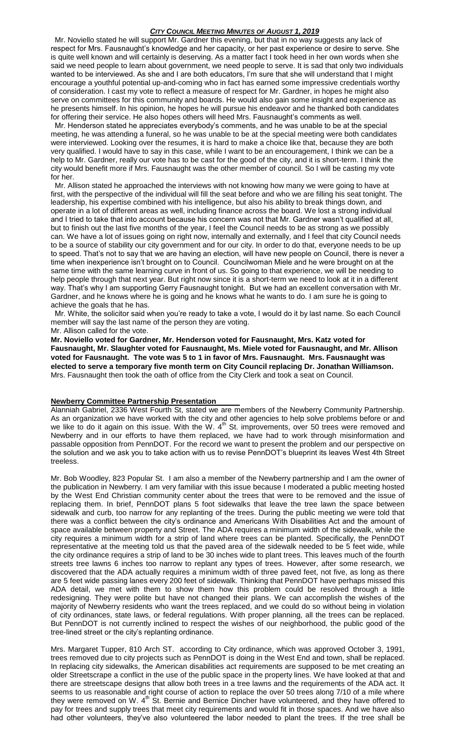Mr. Noviello stated he will support Mr. Gardner this evening, but that in no way suggests any lack of respect for Mrs. Fausnaught's knowledge and her capacity, or her past experience or desire to serve. She is quite well known and will certainly is deserving. As a matter fact I took heed in her own words when she said we need people to learn about government, we need people to serve. It is sad that only two individuals wanted to be interviewed. As she and I are both educators, I'm sure that she will understand that I might encourage a youthful potential up-and-coming who in fact has earned some impressive credentials worthy of consideration. I cast my vote to reflect a measure of respect for Mr. Gardner, in hopes he might also serve on committees for this community and boards. He would also gain some insight and experience as he presents himself. In his opinion, he hopes he will pursue his endeavor and he thanked both candidates for offering their service. He also hopes others will heed Mrs. Fausnaught's comments as well.

 Mr. Henderson stated he appreciates everybody's comments, and he was unable to be at the special meeting, he was attending a funeral, so he was unable to be at the special meeting were both candidates were interviewed. Looking over the resumes, it is hard to make a choice like that, because they are both very qualified. I would have to say in this case, while I want to be an encouragement, I think we can be a help to Mr. Gardner, really our vote has to be cast for the good of the city, and it is short-term. I think the city would benefit more if Mrs. Fausnaught was the other member of council. So I will be casting my vote for her.

 Mr. Allison stated he approached the interviews with not knowing how many we were going to have at first, with the perspective of the individual will fill the seat before and who we are filling his seat tonight. The leadership, his expertise combined with his intelligence, but also his ability to break things down, and operate in a lot of different areas as well, including finance across the board. We lost a strong individual and I tried to take that into account because his concern was not that Mr. Gardner wasn't qualified at all, but to finish out the last five months of the year, I feel the Council needs to be as strong as we possibly can. We have a lot of issues going on right now, internally and externally, and I feel that city Council needs to be a source of stability our city government and for our city. In order to do that, everyone needs to be up to speed. That's not to say that we are having an election, will have new people on Council, there is never a time when inexperience isn't brought on to Council. Councilwoman Miele and he were brought on at the same time with the same learning curve in front of us. So going to that experience, we will be needing to help people through that next year. But right now since it is a short-term we need to look at it in a different way. That's why I am supporting Gerry Fausnaught tonight. But we had an excellent conversation with Mr. Gardner, and he knows where he is going and he knows what he wants to do. I am sure he is going to achieve the goals that he has.

 Mr. White, the solicitor said when you're ready to take a vote, I would do it by last name. So each Council member will say the last name of the person they are voting.

#### Mr. Allison called for the vote.

**Mr. Noviello voted for Gardner, Mr. Henderson voted for Fausnaught, Mrs. Katz voted for Fausnaught, Mr. Slaughter voted for Fausnaught, Ms. Miele voted for Fausnaught, and Mr. Allison voted for Fausnaught. The vote was 5 to 1 in favor of Mrs. Fausnaught. Mrs. Fausnaught was elected to serve a temporary five month term on City Council replacing Dr. Jonathan Williamson.** Mrs. Fausnaught then took the oath of office from the City Clerk and took a seat on Council.

# **Newberry Committee Partnership Presentation**

Alanniah Gabriel, 2336 West Fourth St, stated we are members of the Newberry Community Partnership. As an organization we have worked with the city and other agencies to help solve problems before or and we like to do it again on this issue. With the W.  $4<sup>th</sup>$  St. improvements, over 50 trees were removed and Newberry and in our efforts to have them replaced, we have had to work through misinformation and passable opposition from PennDOT. For the record we want to present the problem and our perspective on the solution and we ask you to take action with us to revise PennDOT's blueprint its leaves West 4th Street treeless.

Mr. Bob Woodley, 823 Popular St. I am also a member of the Newberry partnership and I am the owner of the publication in Newberry. I am very familiar with this issue because I moderated a public meeting hosted by the West End Christian community center about the trees that were to be removed and the issue of replacing them. In brief, PennDOT plans 5 foot sidewalks that leave the tree lawn the space between sidewalk and curb, too narrow for any replanting of the trees. During the public meeting we were told that there was a conflict between the city's ordinance and Americans With Disabilities Act and the amount of space available between property and Street. The ADA requires a minimum width of the sidewalk, while the city requires a minimum width for a strip of land where trees can be planted. Specifically, the PennDOT representative at the meeting told us that the paved area of the sidewalk needed to be 5 feet wide, while the city ordinance requires a strip of land to be 30 inches wide to plant trees. This leaves much of the fourth streets tree lawns 6 inches too narrow to replant any types of trees. However, after some research, we discovered that the ADA actually requires a minimum width of three paved feet, not five, as long as there are 5 feet wide passing lanes every 200 feet of sidewalk. Thinking that PennDOT have perhaps missed this ADA detail, we met with them to show them how this problem could be resolved through a little redesigning. They were polite but have not changed their plans. We can accomplish the wishes of the majority of Newberry residents who want the trees replaced, and we could do so without being in violation of city ordinances, state laws, or federal regulations. With proper planning, all the trees can be replaced. But PennDOT is not currently inclined to respect the wishes of our neighborhood, the public good of the tree-lined street or the city's replanting ordinance.

Mrs. Margaret Tupper, 810 Arch ST. according to City ordinance, which was approved October 3, 1991, trees removed due to city projects such as PennDOT is doing in the West End and town, shall be replaced. In replacing city sidewalks, the American disabilities act requirements are supposed to be met creating an older Streetscrape a conflict in the use of the public space in the property lines. We have looked at that and there are streetscape designs that allow both trees in a tree lawns and the requirements of the ADA act. It seems to us reasonable and right course of action to replace the over 50 trees along 7/10 of a mile where they were removed on W. 4<sup>th</sup> St. Bernie and Bernice Dincher have volunteered, and they have offered to pay for trees and supply trees that meet city requirements and would fit in those spaces. And we have also had other volunteers, they've also volunteered the labor needed to plant the trees. If the tree shall be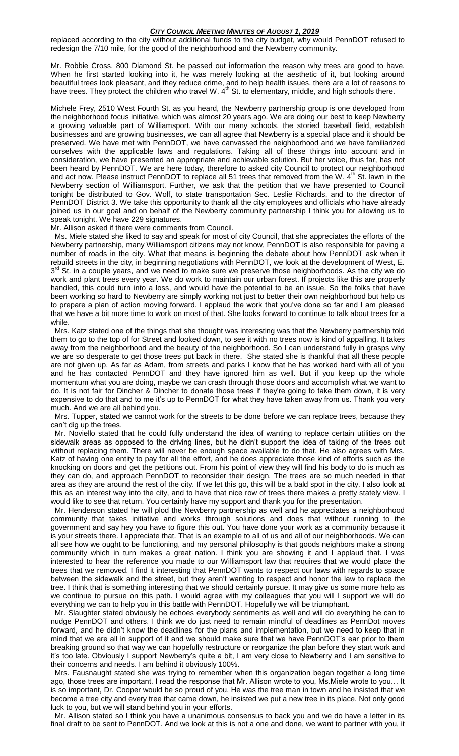replaced according to the city without additional funds to the city budget, why would PennDOT refused to redesign the 7/10 mile, for the good of the neighborhood and the Newberry community.

Mr. Robbie Cross, 800 Diamond St. he passed out information the reason why trees are good to have. When he first started looking into it, he was merely looking at the aesthetic of it, but looking around beautiful trees look pleasant, and they reduce crime, and to help health issues, there are a lot of reasons to have trees. They protect the children who travel W. 4<sup>th</sup> St. to elementary, middle, and high schools there.

Michele Frey, 2510 West Fourth St. as you heard, the Newberry partnership group is one developed from the neighborhood focus initiative, which was almost 20 years ago. We are doing our best to keep Newberry a growing valuable part of Williamsport. With our many schools, the storied baseball field, establish businesses and are growing businesses, we can all agree that Newberry is a special place and it should be preserved. We have met with PennDOT, we have canvassed the neighborhood and we have familiarized ourselves with the applicable laws and regulations. Taking all of these things into account and in consideration, we have presented an appropriate and achievable solution. But her voice, thus far, has not been heard by PennDOT. We are here today, therefore to asked city Council to protect our neighborhood and act now. Please instruct PennDOT to replace all 51 trees that removed from the W. 4<sup>th</sup> St. lawn in the Newberry section of Williamsport. Further, we ask that the petition that we have presented to Council tonight be distributed to Gov. Wolf, to state transportation Sec. Leslie Richards, and to the director of PennDOT District 3. We take this opportunity to thank all the city employees and officials who have already joined us in our goal and on behalf of the Newberry community partnership I think you for allowing us to speak tonight. We have 229 signatures.

Mr. Allison asked if there were comments from Council.

 Ms. Miele stated she liked to say and speak for most of city Council, that she appreciates the efforts of the Newberry partnership, many Williamsport citizens may not know, PennDOT is also responsible for paving a number of roads in the city. What that means is beginning the debate about how PennDOT ask when it rebuild streets in the city, in beginning negotiations with PennDOT, we look at the development of West, E. 3<sup>rd</sup> St. in a couple years, and we need to make sure we preserve those neighborhoods. As the city we do work and plant trees every year. We do work to maintain our urban forest. If projects like this are properly handled, this could turn into a loss, and would have the potential to be an issue. So the folks that have been working so hard to Newberry are simply working not just to better their own neighborhood but help us to prepare a plan of action moving forward. I applaud the work that you've done so far and I am pleased that we have a bit more time to work on most of that. She looks forward to continue to talk about trees for a while.

 Mrs. Katz stated one of the things that she thought was interesting was that the Newberry partnership told them to go to the top of for Street and looked down, to see it with no trees now is kind of appalling. It takes away from the neighborhood and the beauty of the neighborhood. So I can understand fully in grasps why we are so desperate to get those trees put back in there. She stated she is thankful that all these people are not given up. As far as Adam, from streets and parks I know that he has worked hard with all of you and he has contacted PennDOT and they have ignored him as well. But if you keep up the whole momentum what you are doing, maybe we can crash through those doors and accomplish what we want to do. It is not fair for Dincher & Dincher to donate those trees if they're going to take them down, it is very expensive to do that and to me it's up to PennDOT for what they have taken away from us. Thank you very much. And we are all behind you.

 Mrs. Tupper, stated we cannot work for the streets to be done before we can replace trees, because they can't dig up the trees.

 Mr. Noviello stated that he could fully understand the idea of wanting to replace certain utilities on the sidewalk areas as opposed to the driving lines, but he didn't support the idea of taking of the trees out without replacing them. There will never be enough space available to do that. He also agrees with Mrs. Katz of having one entity to pay for all the effort, and he does appreciate those kind of efforts such as the knocking on doors and get the petitions out. From his point of view they will find his body to do is much as they can do, and approach PennDOT to reconsider their design. The trees are so much needed in that area as they are around the rest of the city. If we let this go, this will be a bald spot in the city. I also look at this as an interest way into the city, and to have that nice row of trees there makes a pretty stately view. I would like to see that return. You certainly have my support and thank you for the presentation.

 Mr. Henderson stated he will plod the Newberry partnership as well and he appreciates a neighborhood community that takes initiative and works through solutions and does that without running to the government and say hey you have to figure this out. You have done your work as a community because it is your streets there. I appreciate that. That is an example to all of us and all of our neighborhoods. We can all see how we ought to be functioning, and my personal philosophy is that goods neighbors make a strong community which in turn makes a great nation. I think you are showing it and I applaud that. I was interested to hear the reference you made to our Williamsport law that requires that we would place the trees that we removed. I find it interesting that PennDOT wants to respect our laws with regards to space between the sidewalk and the street, but they aren't wanting to respect and honor the law to replace the tree. I think that is something interesting that we should certainly pursue. It may give us some more help as we continue to pursue on this path. I would agree with my colleagues that you will I support we will do everything we can to help you in this battle with PennDOT. Hopefully we will be triumphant.

 Mr. Slaughter stated obviously he echoes everybody sentiments as well and will do everything he can to nudge PennDOT and others. I think we do just need to remain mindful of deadlines as PennDot moves forward, and he didn't know the deadlines for the plans and implementation, but we need to keep that in mind that we are all in support of it and we should make sure that we have PennDOT's ear prior to them breaking ground so that way we can hopefully restructure or reorganize the plan before they start work and it's too late. Obviously I support Newberry's quite a bit, I am very close to Newberry and I am sensitive to their concerns and needs. I am behind it obviously 100%.

 Mrs. Fausnaught stated she was trying to remember when this organization began together a long time ago, those trees are important. I read the response that Mr. Allison wrote to you, Ms.Miele wrote to you… It is so important, Dr. Cooper would be so proud of you. He was the tree man in town and he insisted that we become a tree city and every tree that came down, he insisted we put a new tree in its place. Not only good luck to you, but we will stand behind you in your efforts.

 Mr. Allison stated so I think you have a unanimous consensus to back you and we do have a letter in its final draft to be sent to PennDOT. And we look at this is not a one and done, we want to partner with you, it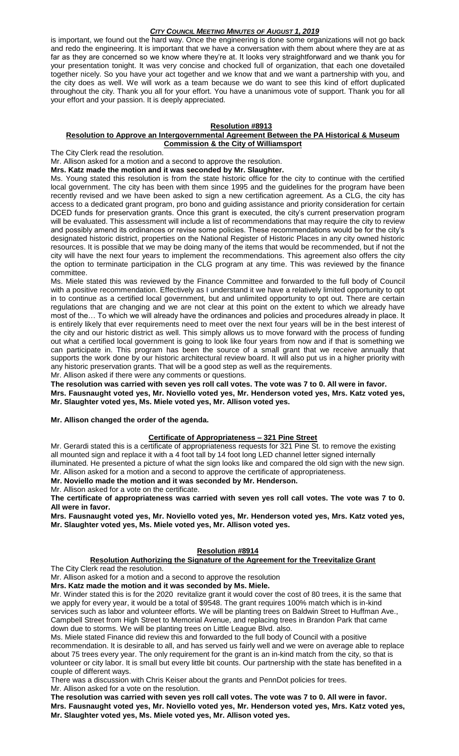is important, we found out the hard way. Once the engineering is done some organizations will not go back and redo the engineering. It is important that we have a conversation with them about where they are at as far as they are concerned so we know where they're at. It looks very straightforward and we thank you for your presentation tonight. It was very concise and chocked full of organization, that each one dovetailed together nicely. So you have your act together and we know that and we want a partnership with you, and the city does as well. We will work as a team because we do want to see this kind of effort duplicated throughout the city. Thank you all for your effort. You have a unanimous vote of support. Thank you for all your effort and your passion. It is deeply appreciated.

## **Resolution #8913**

#### **Resolution to Approve an Intergovernmental Agreement Between the PA Historical & Museum Commission & the City of Williamsport**

The City Clerk read the resolution.

Mr. Allison asked for a motion and a second to approve the resolution.

**Mrs. Katz made the motion and it was seconded by Mr. Slaughter.**

Ms. Young stated this resolution is from the state historic office for the city to continue with the certified local government. The city has been with them since 1995 and the guidelines for the program have been recently revised and we have been asked to sign a new certification agreement. As a CLG, the city has access to a dedicated grant program, pro bono and guiding assistance and priority consideration for certain DCED funds for preservation grants. Once this grant is executed, the city's current preservation program will be evaluated. This assessment will include a list of recommendations that may require the city to review and possibly amend its ordinances or revise some policies. These recommendations would be for the city's designated historic district, properties on the National Register of Historic Places in any city owned historic resources. It is possible that we may be doing many of the items that would be recommended, but if not the city will have the next four years to implement the recommendations. This agreement also offers the city the option to terminate participation in the CLG program at any time. This was reviewed by the finance committee.

Ms. Miele stated this was reviewed by the Finance Committee and forwarded to the full body of Council with a positive recommendation. Effectively as I understand it we have a relatively limited opportunity to opt in to continue as a certified local government, but and unlimited opportunity to opt out. There are certain regulations that are changing and we are not clear at this point on the extent to which we already have most of the… To which we will already have the ordinances and policies and procedures already in place. It is entirely likely that ever requirements need to meet over the next four years will be in the best interest of the city and our historic district as well. This simply allows us to move forward with the process of funding out what a certified local government is going to look like four years from now and if that is something we can participate in. This program has been the source of a small grant that we receive annually that supports the work done by our historic architectural review board. It will also put us in a higher priority with any historic preservation grants. That will be a good step as well as the requirements.

Mr. Allison asked if there were any comments or questions.

**The resolution was carried with seven yes roll call votes. The vote was 7 to 0. All were in favor. Mrs. Fausnaught voted yes, Mr. Noviello voted yes, Mr. Henderson voted yes, Mrs. Katz voted yes, Mr. Slaughter voted yes, Ms. Miele voted yes, Mr. Allison voted yes.**

**Mr. Allison changed the order of the agenda.**

#### **Certificate of Appropriateness – 321 Pine Street**

Mr. Gerardi stated this is a certificate of appropriateness requests for 321 Pine St. to remove the existing all mounted sign and replace it with a 4 foot tall by 14 foot long LED channel letter signed internally illuminated. He presented a picture of what the sign looks like and compared the old sign with the new sign. Mr. Allison asked for a motion and a second to approve the certificate of appropriateness.

**Mr. Noviello made the motion and it was seconded by Mr. Henderson.**

Mr. Allison asked for a vote on the certificate.

**The certificate of appropriateness was carried with seven yes roll call votes. The vote was 7 to 0. All were in favor.**

**Mrs. Fausnaught voted yes, Mr. Noviello voted yes, Mr. Henderson voted yes, Mrs. Katz voted yes, Mr. Slaughter voted yes, Ms. Miele voted yes, Mr. Allison voted yes.**

#### **Resolution #8914**

# **Resolution Authorizing the Signature of the Agreement for the Treevitalize Grant**

The City Clerk read the resolution.

Mr. Allison asked for a motion and a second to approve the resolution

#### **Mrs. Katz made the motion and it was seconded by Ms. Miele.**

Mr. Winder stated this is for the 2020 revitalize grant it would cover the cost of 80 trees, it is the same that we apply for every year, it would be a total of \$9548. The grant requires 100% match which is in-kind services such as labor and volunteer efforts. We will be planting trees on Baldwin Street to Huffman Ave., Campbell Street from High Street to Memorial Avenue, and replacing trees in Brandon Park that came down due to storms. We will be planting trees on Little League Blvd. also.

Ms. Miele stated Finance did review this and forwarded to the full body of Council with a positive recommendation. It is desirable to all, and has served us fairly well and we were on average able to replace about 75 trees every year. The only requirement for the grant is an in-kind match from the city, so that is volunteer or city labor. It is small but every little bit counts. Our partnership with the state has benefited in a couple of different ways.

There was a discussion with Chris Keiser about the grants and PennDot policies for trees. Mr. Allison asked for a vote on the resolution.

**The resolution was carried with seven yes roll call votes. The vote was 7 to 0. All were in favor. Mrs. Fausnaught voted yes, Mr. Noviello voted yes, Mr. Henderson voted yes, Mrs. Katz voted yes, Mr. Slaughter voted yes, Ms. Miele voted yes, Mr. Allison voted yes.**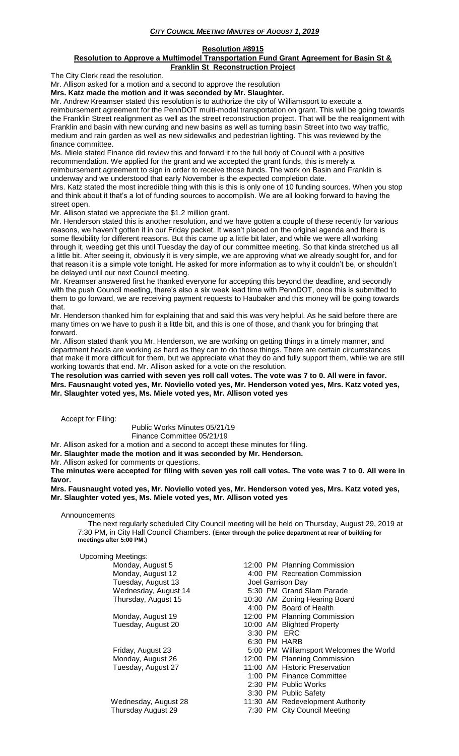# **Resolution #8915**

#### **Resolution to Approve a Multimodel Transportation Fund Grant Agreement for Basin St & Franklin St Reconstruction Project**

The City Clerk read the resolution.

Mr. Allison asked for a motion and a second to approve the resolution

**Mrs. Katz made the motion and it was seconded by Mr. Slaughter.**

Mr. Andrew Kreamser stated this resolution is to authorize the city of Williamsport to execute a reimbursement agreement for the PennDOT multi-modal transportation on grant. This will be going towards the Franklin Street realignment as well as the street reconstruction project. That will be the realignment with Franklin and basin with new curving and new basins as well as turning basin Street into two way traffic, medium and rain garden as well as new sidewalks and pedestrian lighting. This was reviewed by the finance committee.

Ms. Miele stated Finance did review this and forward it to the full body of Council with a positive recommendation. We applied for the grant and we accepted the grant funds, this is merely a reimbursement agreement to sign in order to receive those funds. The work on Basin and Franklin is underway and we understood that early November is the expected completion date.

Mrs. Katz stated the most incredible thing with this is this is only one of 10 funding sources. When you stop and think about it that's a lot of funding sources to accomplish. We are all looking forward to having the street open.

Mr. Allison stated we appreciate the \$1.2 million grant.

Mr. Henderson stated this is another resolution, and we have gotten a couple of these recently for various reasons, we haven't gotten it in our Friday packet. It wasn't placed on the original agenda and there is some flexibility for different reasons. But this came up a little bit later, and while we were all working through it, weeding get this until Tuesday the day of our committee meeting. So that kinda stretched us all a little bit. After seeing it, obviously it is very simple, we are approving what we already sought for, and for that reason it is a simple vote tonight. He asked for more information as to why it couldn't be, or shouldn't be delayed until our next Council meeting.

Mr. Kreamser answered first he thanked everyone for accepting this beyond the deadline, and secondly with the push Council meeting, there's also a six week lead time with PennDOT, once this is submitted to them to go forward, we are receiving payment requests to Haubaker and this money will be going towards that.

Mr. Henderson thanked him for explaining that and said this was very helpful. As he said before there are many times on we have to push it a little bit, and this is one of those, and thank you for bringing that forward.

Mr. Allison stated thank you Mr. Henderson, we are working on getting things in a timely manner, and department heads are working as hard as they can to do those things. There are certain circumstances that make it more difficult for them, but we appreciate what they do and fully support them, while we are still working towards that end. Mr. Allison asked for a vote on the resolution.

#### **The resolution was carried with seven yes roll call votes. The vote was 7 to 0. All were in favor. Mrs. Fausnaught voted yes, Mr. Noviello voted yes, Mr. Henderson voted yes, Mrs. Katz voted yes, Mr. Slaughter voted yes, Ms. Miele voted yes, Mr. Allison voted yes**

Accept for Filing:

Public Works Minutes 05/21/19

Finance Committee 05/21/19

Mr. Allison asked for a motion and a second to accept these minutes for filing. **Mr. Slaughter made the motion and it was seconded by Mr. Henderson.**

Mr. Allison asked for comments or questions.

**The minutes were accepted for filing with seven yes roll call votes. The vote was 7 to 0. All were in favor.**

#### **Mrs. Fausnaught voted yes, Mr. Noviello voted yes, Mr. Henderson voted yes, Mrs. Katz voted yes, Mr. Slaughter voted yes, Ms. Miele voted yes, Mr. Allison voted yes**

#### Announcements

 The next regularly scheduled City Council meeting will be held on Thursday, August 29, 2019 at 7:30 PM, in City Hall Council Chambers. (**Enter through the police department at rear of building for meetings after 5:00 PM.)**

#### Upcoming Meetings:

| 12:00 PM Planning Commission            |
|-----------------------------------------|
|                                         |
| 4:00 PM Recreation Commission           |
| Joel Garrison Day                       |
| 5:30 PM Grand Slam Parade               |
| 10:30 AM Zoning Hearing Board           |
| 4:00 PM Board of Health                 |
| 12:00 PM Planning Commission            |
| 10:00 AM Blighted Property              |
| 3:30 PM ERC                             |
| 6:30 PM HARB                            |
| 5:00 PM Williamsport Welcomes the World |
| 12:00 PM Planning Commission            |
| 11:00 AM Historic Preservation          |
| 1:00 PM Finance Committee               |
| 2:30 PM Public Works                    |
| 3:30 PM Public Safety                   |
| 11:30 AM Redevelopment Authority        |
| 7:30 PM City Council Meeting            |
|                                         |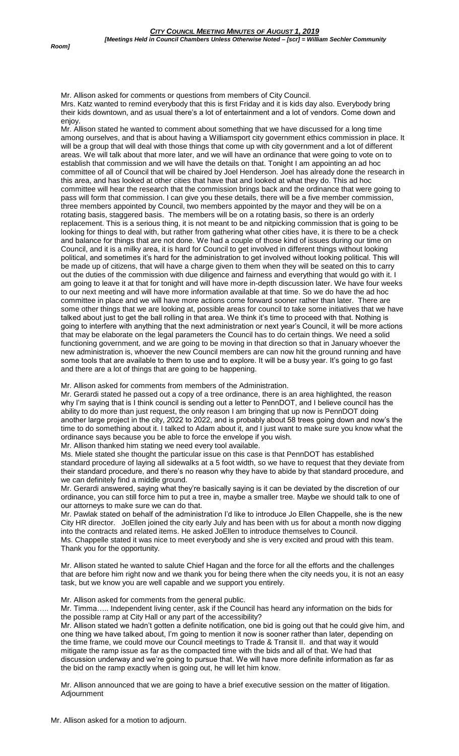Mr. Allison asked for comments or questions from members of City Council. Mrs. Katz wanted to remind everybody that this is first Friday and it is kids day also. Everybody bring their kids downtown, and as usual there's a lot of entertainment and a lot of vendors. Come down and enjoy.

Mr. Allison stated he wanted to comment about something that we have discussed for a long time among ourselves, and that is about having a Williamsport city government ethics commission in place. It will be a group that will deal with those things that come up with city government and a lot of different areas. We will talk about that more later, and we will have an ordinance that were going to vote on to establish that commission and we will have the details on that. Tonight I am appointing an ad hoc committee of all of Council that will be chaired by Joel Henderson. Joel has already done the research in this area, and has looked at other cities that have that and looked at what they do. This ad hoc committee will hear the research that the commission brings back and the ordinance that were going to pass will form that commission. I can give you these details, there will be a five member commission, three members appointed by Council, two members appointed by the mayor and they will be on a rotating basis, staggered basis. The members will be on a rotating basis, so there is an orderly replacement. This is a serious thing, it is not meant to be and nitpicking commission that is going to be looking for things to deal with, but rather from gathering what other cities have, it is there to be a check and balance for things that are not done. We had a couple of those kind of issues during our time on Council, and it is a milky area, it is hard for Council to get involved in different things without looking political, and sometimes it's hard for the administration to get involved without looking political. This will be made up of citizens, that will have a charge given to them when they will be seated on this to carry out the duties of the commission with due diligence and fairness and everything that would go with it. I am going to leave it at that for tonight and will have more in-depth discussion later. We have four weeks to our next meeting and will have more information available at that time. So we do have the ad hoc committee in place and we will have more actions come forward sooner rather than later. There are some other things that we are looking at, possible areas for council to take some initiatives that we have talked about just to get the ball rolling in that area. We think it's time to proceed with that. Nothing is going to interfere with anything that the next administration or next year's Council, it will be more actions that may be elaborate on the legal parameters the Council has to do certain things. We need a solid functioning government, and we are going to be moving in that direction so that in January whoever the new administration is, whoever the new Council members are can now hit the ground running and have some tools that are available to them to use and to explore. It will be a busy year. It's going to go fast and there are a lot of things that are going to be happening.

Mr. Allison asked for comments from members of the Administration.

Mr. Gerardi stated he passed out a copy of a tree ordinance, there is an area highlighted, the reason why I'm saying that is I think council is sending out a letter to PennDOT, and I believe council has the ability to do more than just request, the only reason I am bringing that up now is PennDOT doing another large project in the city, 2022 to 2022, and is probably about 58 trees going down and now's the time to do something about it. I talked to Adam about it, and I just want to make sure you know what the ordinance says because you be able to force the envelope if you wish.

Mr. Allison thanked him stating we need every tool available.

Ms. Miele stated she thought the particular issue on this case is that PennDOT has established standard procedure of laying all sidewalks at a 5 foot width, so we have to request that they deviate from their standard procedure, and there's no reason why they have to abide by that standard procedure, and we can definitely find a middle ground.

Mr. Gerardi answered, saying what they're basically saying is it can be deviated by the discretion of our ordinance, you can still force him to put a tree in, maybe a smaller tree. Maybe we should talk to one of our attorneys to make sure we can do that.

Mr. Pawlak stated on behalf of the administration I'd like to introduce Jo Ellen Chappelle, she is the new City HR director. JoEllen joined the city early July and has been with us for about a month now digging into the contracts and related items. He asked JoEllen to introduce themselves to Council.

Ms. Chappelle stated it was nice to meet everybody and she is very excited and proud with this team. Thank you for the opportunity.

Mr. Allison stated he wanted to salute Chief Hagan and the force for all the efforts and the challenges that are before him right now and we thank you for being there when the city needs you, it is not an easy task, but we know you are well capable and we support you entirely.

Mr. Allison asked for comments from the general public.

Mr. Timma….. Independent living center, ask if the Council has heard any information on the bids for the possible ramp at City Hall or any part of the accessibility?

Mr. Allison stated we hadn't gotten a definite notification, one bid is going out that he could give him, and one thing we have talked about, I'm going to mention it now is sooner rather than later, depending on the time frame, we could move our Council meetings to Trade & Transit II. and that way it would mitigate the ramp issue as far as the compacted time with the bids and all of that. We had that discussion underway and we're going to pursue that. We will have more definite information as far as the bid on the ramp exactly when is going out, he will let him know.

Mr. Allison announced that we are going to have a brief executive session on the matter of litigation. **Adiournment**